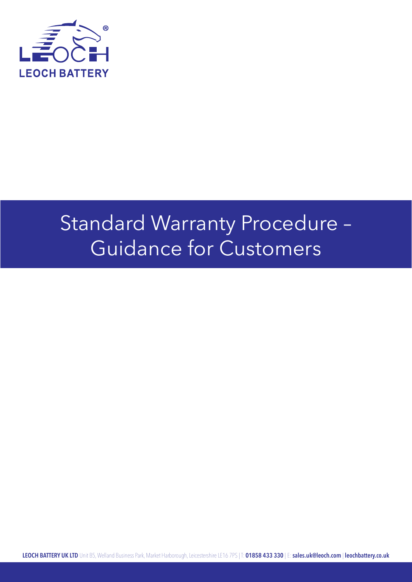

## Standard Warranty Procedure – Guidance for Customers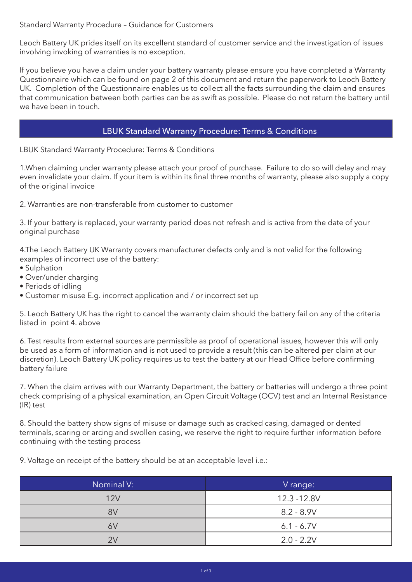Standard Warranty Procedure – Guidance for Customers

Leoch Battery UK prides itself on its excellent standard of customer service and the investigation of issues involving invoking of warranties is no exception.

If you believe you have a claim under your battery warranty please ensure you have completed a Warranty Questionnaire which can be found on page 2 of this document and return the paperwork to Leoch Battery UK. Completion of the Questionnaire enables us to collect all the facts surrounding the claim and ensures that communication between both parties can be as swift as possible. Please do not return the battery until we have been in touch.

## LBUK Standard Warranty Procedure: Terms & Conditions

LBUK Standard Warranty Procedure: Terms & Conditions

1.When claiming under warranty please attach your proof of purchase. Failure to do so will delay and may even invalidate your claim. If your item is within its final three months of warranty, please also supply a copy of the original invoice

2. Warranties are non-transferable from customer to customer

3. If your battery is replaced, your warranty period does not refresh and is active from the date of your original purchase

4.The Leoch Battery UK Warranty covers manufacturer defects only and is not valid for the following examples of incorrect use of the battery:

- Sulphation
- Over/under charging
- Periods of idling
- Customer misuse E.g. incorrect application and / or incorrect set up

5. Leoch Battery UK has the right to cancel the warranty claim should the battery fail on any of the criteria listed in point 4. above

6. Test results from external sources are permissible as proof of operational issues, however this will only be used as a form of information and is not used to provide a result (this can be altered per claim at our discretion). Leoch Battery UK policy requires us to test the battery at our Head Office before confirming battery failure

7. When the claim arrives with our Warranty Department, the battery or batteries will undergo a three point check comprising of a physical examination, an Open Circuit Voltage (OCV) test and an Internal Resistance (IR) test

8. Should the battery show signs of misuse or damage such as cracked casing, damaged or dented terminals, scaring or arcing and swollen casing, we reserve the right to require further information before continuing with the testing process

9. Voltage on receipt of the battery should be at an acceptable level i.e.:

| Nominal V: | V range:     |  |  |
|------------|--------------|--|--|
| 12V        | 12.3 - 12.8V |  |  |
| 8V         | $8.2 - 8.9V$ |  |  |
| 6V         | $6.1 - 6.7V$ |  |  |
| 2V         | $2.0 - 2.2V$ |  |  |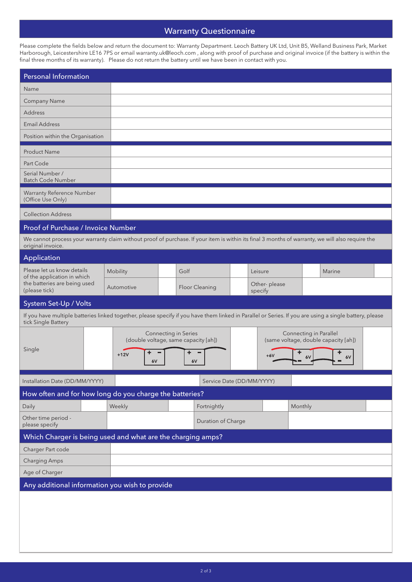## Warranty Questionnaire

Please complete the fields below and return the document to: Warranty Department. Leoch Battery UK Ltd, Unit B5, Welland Business Park, Market Harborough, Leicestershire LE16 7PS or email warranty.uk@leoch.com , along with proof of purchase and original invoice (if the battery is within the final three months of its warranty). Please do not return the battery until we have been in contact with you.

| <b>Personal Information</b>                                                                                                                                                    |                    |                                                                                         |         |              |                                                                            |  |  |
|--------------------------------------------------------------------------------------------------------------------------------------------------------------------------------|--------------------|-----------------------------------------------------------------------------------------|---------|--------------|----------------------------------------------------------------------------|--|--|
| Name                                                                                                                                                                           |                    |                                                                                         |         |              |                                                                            |  |  |
| <b>Company Name</b>                                                                                                                                                            |                    |                                                                                         |         |              |                                                                            |  |  |
| <b>Address</b>                                                                                                                                                                 |                    |                                                                                         |         |              |                                                                            |  |  |
| <b>Email Address</b>                                                                                                                                                           |                    |                                                                                         |         |              |                                                                            |  |  |
| Position within the Organisation                                                                                                                                               |                    |                                                                                         |         |              |                                                                            |  |  |
| <b>Product Name</b>                                                                                                                                                            |                    |                                                                                         |         |              |                                                                            |  |  |
| Part Code                                                                                                                                                                      |                    |                                                                                         |         |              |                                                                            |  |  |
| Serial Number /<br><b>Batch Code Number</b>                                                                                                                                    |                    |                                                                                         |         |              |                                                                            |  |  |
| Warranty Reference Number<br>(Office Use Only)                                                                                                                                 |                    |                                                                                         |         |              |                                                                            |  |  |
| <b>Collection Address</b>                                                                                                                                                      |                    |                                                                                         |         |              |                                                                            |  |  |
| Proof of Purchase / Invoice Number                                                                                                                                             |                    |                                                                                         |         |              |                                                                            |  |  |
| We cannot process your warranty claim without proof of purchase. If your item is within its final 3 months of warranty, we will also require the<br>original invoice.          |                    |                                                                                         |         |              |                                                                            |  |  |
| Application                                                                                                                                                                    |                    |                                                                                         |         |              |                                                                            |  |  |
| Please let us know details                                                                                                                                                     | Mobility           | Golf                                                                                    | Leisure |              | Marine                                                                     |  |  |
| of the application in which<br>the batteries are being used<br>(please tick)                                                                                                   | Automotive         | Floor Cleaning                                                                          | specify | Other-please |                                                                            |  |  |
| System Set-Up / Volts                                                                                                                                                          |                    |                                                                                         |         |              |                                                                            |  |  |
| If you have multiple batteries linked together, please specify if you have them linked in Parallel or Series. If you are using a single battery, please<br>tick Single Battery |                    |                                                                                         |         |              |                                                                            |  |  |
| Single                                                                                                                                                                         | ٠<br>$+12V$<br>6V  | <b>Connecting in Series</b><br>(double voltage, same capacity [ah])<br>٠<br>$+6V$<br>6V |         |              | Connecting in Parallel<br>(same voltage, double capacity [ah])<br>6V<br>6V |  |  |
| Installation Date (DD/MM/YYYY)<br>Service Date (DD/MM/YYYY)                                                                                                                    |                    |                                                                                         |         |              |                                                                            |  |  |
| How often and for how long do you charge the batteries?                                                                                                                        |                    |                                                                                         |         |              |                                                                            |  |  |
| Daily                                                                                                                                                                          | Weekly             | Fortnightly                                                                             |         | Monthly      |                                                                            |  |  |
| Other time period -<br>please specify                                                                                                                                          | Duration of Charge |                                                                                         |         |              |                                                                            |  |  |
| Which Charger is being used and what are the charging amps?                                                                                                                    |                    |                                                                                         |         |              |                                                                            |  |  |
| Charger Part code                                                                                                                                                              |                    |                                                                                         |         |              |                                                                            |  |  |
| <b>Charging Amps</b>                                                                                                                                                           |                    |                                                                                         |         |              |                                                                            |  |  |
| Age of Charger                                                                                                                                                                 |                    |                                                                                         |         |              |                                                                            |  |  |
| Any additional information you wish to provide                                                                                                                                 |                    |                                                                                         |         |              |                                                                            |  |  |
|                                                                                                                                                                                |                    |                                                                                         |         |              |                                                                            |  |  |
|                                                                                                                                                                                |                    |                                                                                         |         |              |                                                                            |  |  |
|                                                                                                                                                                                |                    |                                                                                         |         |              |                                                                            |  |  |
|                                                                                                                                                                                |                    |                                                                                         |         |              |                                                                            |  |  |